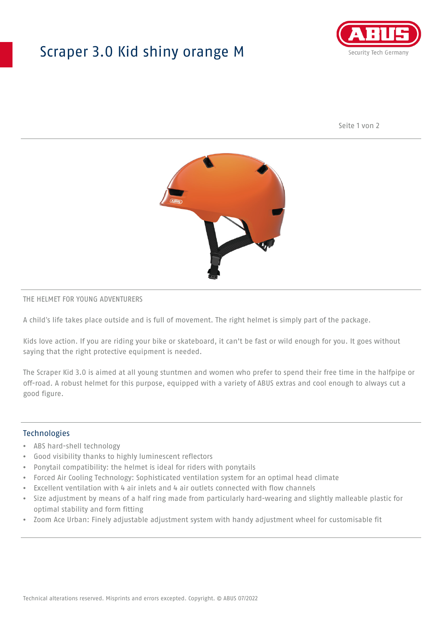## Scraper 3.0 Kid shiny orange M



Seite 1 von 2



#### THE HELMET FOR YOUNG ADVENTURERS

A child's life takes place outside and is full of movement. The right helmet is simply part of the package.

Kids love action. If you are riding your bike or skateboard, it can't be fast or wild enough for you. It goes without saying that the right protective equipment is needed.

The Scraper Kid 3.0 is aimed at all young stuntmen and women who prefer to spend their free time in the halfpipe or off-road. A robust helmet for this purpose, equipped with a variety of ABUS extras and cool enough to always cut a good figure.

#### Technologies

- ABS hard-shell technology
- Good visibility thanks to highly luminescent reflectors
- Ponytail compatibility: the helmet is ideal for riders with ponytails
- Forced Air Cooling Technology: Sophisticated ventilation system for an optimal head climate
- Excellent ventilation with 4 air inlets and 4 air outlets connected with flow channels
- Size adjustment by means of a half ring made from particularly hard-wearing and slightly malleable plastic for optimal stability and form fitting
- Zoom Ace Urban: Finely adjustable adjustment system with handy adjustment wheel for customisable fit